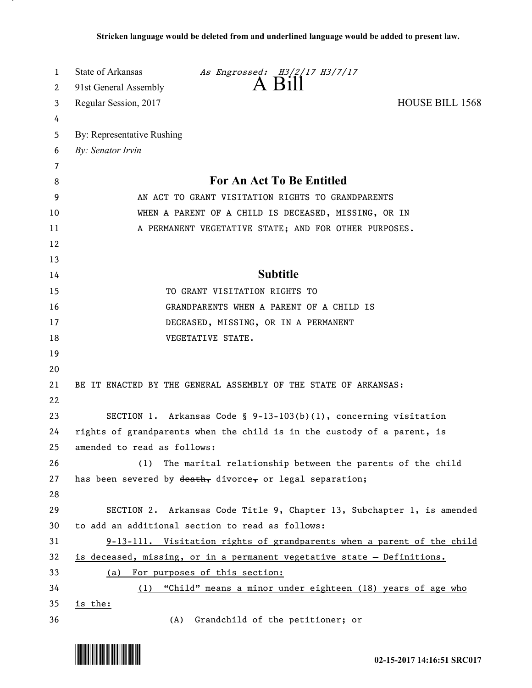| 1      | State of Arkansas<br>As Engrossed: H3/2/17 H3/7/17<br>A B111            |
|--------|-------------------------------------------------------------------------|
| 2      | 91st General Assembly                                                   |
| 3      | <b>HOUSE BILL 1568</b><br>Regular Session, 2017                         |
| 4      |                                                                         |
| 5      | By: Representative Rushing                                              |
| 6      | By: Senator Irvin                                                       |
| 7<br>8 | For An Act To Be Entitled                                               |
| 9      | AN ACT TO GRANT VISITATION RIGHTS TO GRANDPARENTS                       |
| 10     | WHEN A PARENT OF A CHILD IS DECEASED, MISSING, OR IN                    |
| 11     | A PERMANENT VEGETATIVE STATE; AND FOR OTHER PURPOSES.                   |
| 12     |                                                                         |
| 13     |                                                                         |
| 14     | <b>Subtitle</b>                                                         |
| 15     | TO GRANT VISITATION RIGHTS TO                                           |
| 16     | GRANDPARENTS WHEN A PARENT OF A CHILD IS                                |
| 17     | DECEASED, MISSING, OR IN A PERMANENT                                    |
| 18     | VEGETATIVE STATE.                                                       |
| 19     |                                                                         |
| 20     |                                                                         |
| 21     | BE IT ENACTED BY THE GENERAL ASSEMBLY OF THE STATE OF ARKANSAS:         |
| 22     |                                                                         |
| 23     | SECTION 1. Arkansas Code § $9-13-103(b)(1)$ , concerning visitation     |
| 24     | rights of grandparents when the child is in the custody of a parent, is |
| 25     | amended to read as follows:                                             |
| 26     | The marital relationship between the parents of the child<br>(1)        |
| 27     | has been severed by $\frac{death}{ }$ divorce, or legal separation;     |
| 28     |                                                                         |
| 29     | SECTION 2. Arkansas Code Title 9, Chapter 13, Subchapter 1, is amended  |
| 30     | to add an additional section to read as follows:                        |
| 31     | 9-13-111. Visitation rights of grandparents when a parent of the child  |
| 32     | is deceased, missing, or in a permanent vegetative state - Definitions. |
| 33     | (a) For purposes of this section:                                       |
| 34     | (1) "Child" means a minor under eighteen (18) years of age who          |
| 35     | is the:                                                                 |
| 36     | (A) Grandchild of the petitioner; or                                    |



.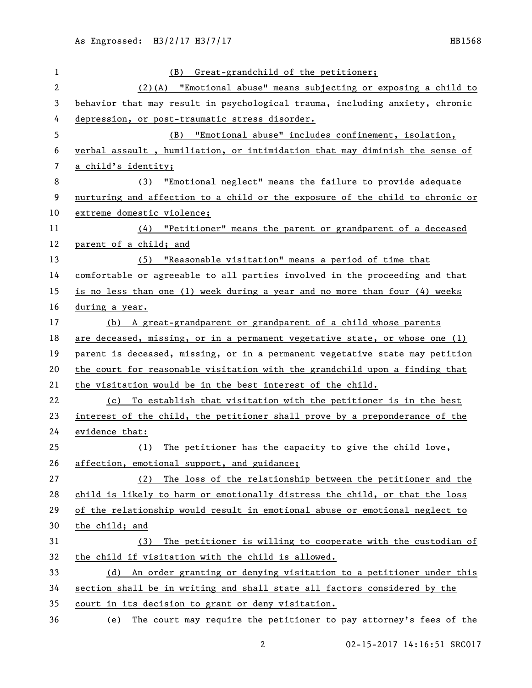| 1  | (B) Great-grandchild of the petitioner;                                       |
|----|-------------------------------------------------------------------------------|
| 2  | (2)(A) "Emotional abuse" means subjecting or exposing a child to              |
| 3  | behavior that may result in psychological trauma, including anxiety, chronic  |
| 4  | depression, or post-traumatic stress disorder.                                |
| 5  | (B) "Emotional abuse" includes confinement, isolation,                        |
| 6  | verbal assault, humiliation, or intimidation that may diminish the sense of   |
| 7  | a child's identity;                                                           |
| 8  | "Emotional neglect" means the failure to provide adequate<br>(3)              |
| 9  | nurturing and affection to a child or the exposure of the child to chronic or |
| 10 | extreme domestic violence;                                                    |
| 11 | $(4)$ "Petitioner" means the parent or grandparent of a deceased              |
| 12 | parent of a child; and                                                        |
| 13 | (5) "Reasonable visitation" means a period of time that                       |
| 14 | comfortable or agreeable to all parties involved in the proceeding and that   |
| 15 | is no less than one (1) week during a year and no more than four (4) weeks    |
| 16 | during a year.                                                                |
| 17 | (b) A great-grandparent or grandparent of a child whose parents               |
| 18 | are deceased, missing, or in a permanent vegetative state, or whose one (1)   |
| 19 | parent is deceased, missing, or in a permanent vegetative state may petition  |
| 20 | the court for reasonable visitation with the grandchild upon a finding that   |
| 21 | the visitation would be in the best interest of the child.                    |
| 22 | (c) To establish that visitation with the petitioner is in the best           |
| 23 | interest of the child, the petitioner shall prove by a preponderance of the   |
| 24 | evidence that:                                                                |
| 25 | The petitioner has the capacity to give the child love,<br>(1)                |
| 26 | affection, emotional support, and guidance;                                   |
| 27 | The loss of the relationship between the petitioner and the<br>(2)            |
| 28 | child is likely to harm or emotionally distress the child, or that the loss   |
| 29 | of the relationship would result in emotional abuse or emotional neglect to   |
| 30 | the child; and                                                                |
| 31 | The petitioner is willing to cooperate with the custodian of<br>(3)           |
| 32 | the child if visitation with the child is allowed.                            |
| 33 | An order granting or denying visitation to a petitioner under this<br>(d)     |
| 34 | section shall be in writing and shall state all factors considered by the     |
| 35 | court in its decision to grant or deny visitation.                            |
| 36 | (e) The court may require the petitioner to pay attorney's fees of the        |

02-15-2017 14:16:51 SRC017